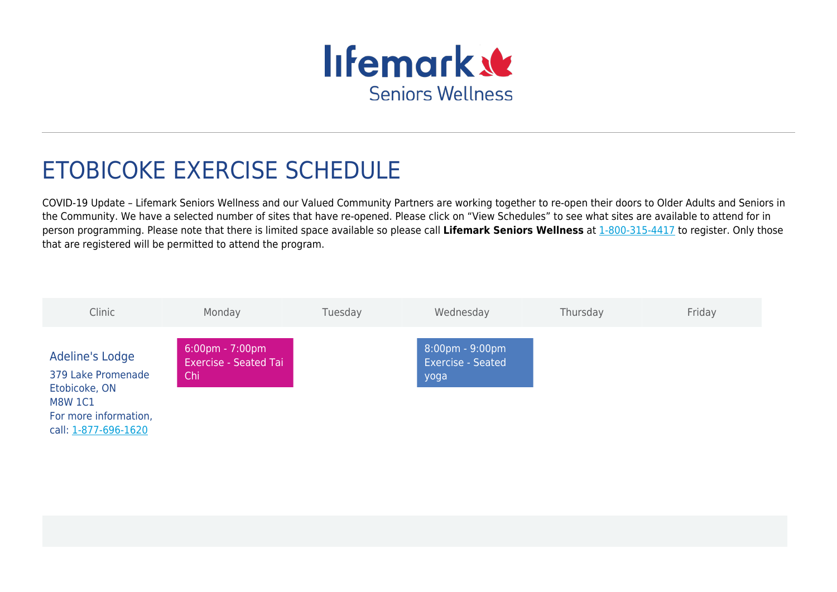

## ETOBICOKE EXERCISE SCHEDULE

COVID-19 Update – Lifemark Seniors Wellness and our Valued Community Partners are working together to re-open their doors to Older Adults and Seniors in the Community. We have a selected number of sites that have re-opened. Please click on "View Schedules" to see what sites are available to attend for in person programming. Please note that there is limited space available so please call Lifemark Seniors Wellness at [1-800-315-4417](#page--1-0) to register. Only those that are registered will be permitted to attend the program.

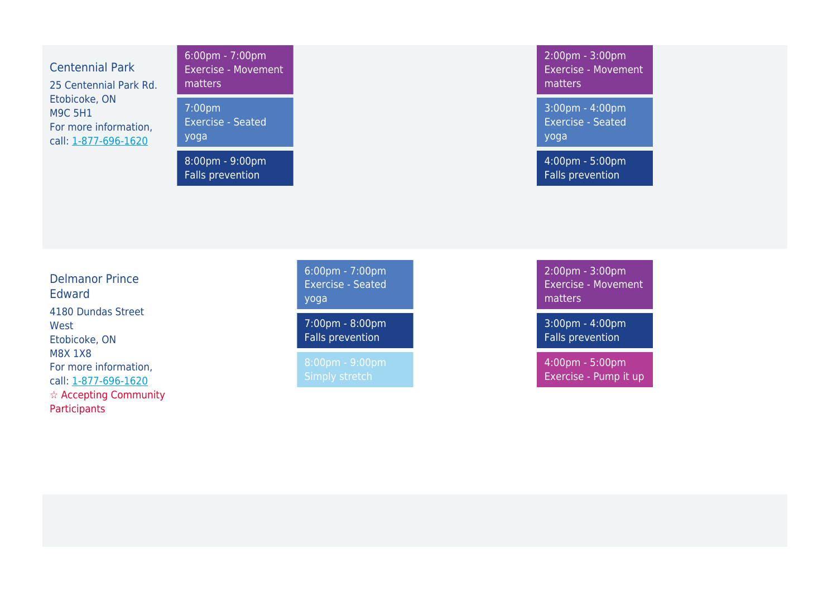| <b>Centennial Park</b><br>25 Centennial Park Rd.<br>Etobicoke, ON<br><b>M9C 5H1</b><br>For more information,<br>call: 1-877-696-1620 | $6:00 \text{pm} - 7:00 \text{pm}$<br><b>Exercise - Movement</b><br>matters | $2:00 \text{pm} - 3:00 \text{pm}$<br><b>Exercise - Movement</b><br>matters |  |
|--------------------------------------------------------------------------------------------------------------------------------------|----------------------------------------------------------------------------|----------------------------------------------------------------------------|--|
|                                                                                                                                      | 7:00 <sub>pm</sub><br><b>Exercise - Seated</b><br>yoga                     | $3:00 \text{pm} - 4:00 \text{pm}$<br><b>Exercise - Seated</b><br>yoga      |  |
|                                                                                                                                      | $8:00 \text{pm} - 9:00 \text{pm}$<br>Falls prevention                      | $4:00 \text{pm} - 5:00 \text{pm}$<br>Falls prevention                      |  |

## Delmanor Prince Edward 4180 Dundas Street West Etobicoke, ON M8X 1X8 For more information, call: [1-877-696-1620](#page--1-0) ☆ Accepting Community Participants

6:00pm - 7:00pm Exercise - Seated yoga

7:00pm - 8:00pm Falls prevention

2:00pm - 3:00pm Exercise - Movement matters

3:00pm - 4:00pm Falls prevention

4:00pm - 5:00pm Exercise - Pump it up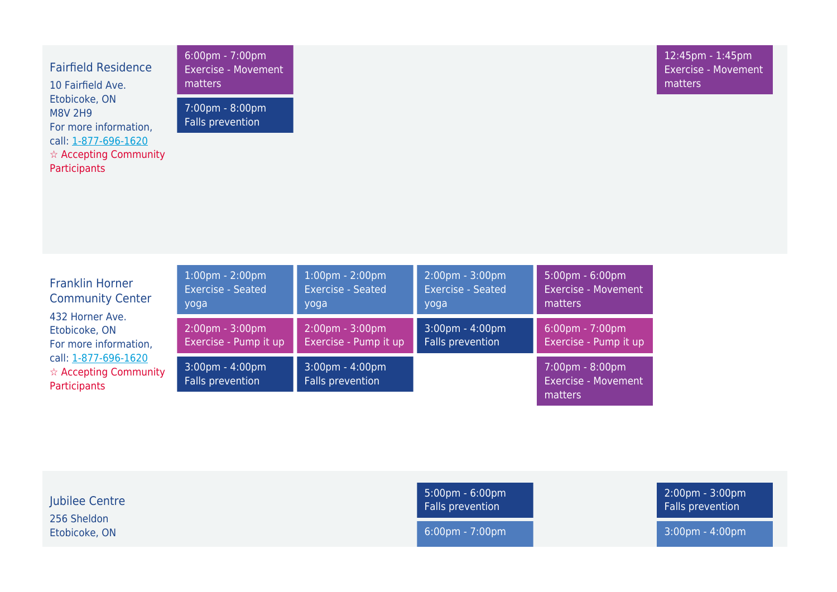Fairfield Residence 10 Fairfield Ave. Etobicoke, ON M8V 2H9 For more information, call: [1-877-696-1620](#page--1-0) ☆ Accepting Community Participants

6:00pm - 7:00pm Exercise - Movement matters

7:00pm - 8:00pm Falls prevention

12:45pm - 1:45pm Exercise - Movement matters

| <b>Franklin Horner</b><br><b>Community Center</b><br>432 Horner Ave.<br>Etobicoke, ON<br>For more information,<br>call: 1-877-696-1620<br>$\hat{\mathbf{x}}$ Accepting Community<br>Participants | $1:00 \text{pm} - 2:00 \text{pm}$<br><b>Exercise - Seated</b><br>yoga | $1:00 \text{pm} - 2:00 \text{pm}$<br>Exercise - Seated<br>yoga | $2:00 \text{pm} - 3:00 \text{pm}$<br>Exercise - Seated<br>yoga | $5:00 \text{pm} - 6:00 \text{pm}$<br><b>Exercise - Movement</b><br>matters |
|--------------------------------------------------------------------------------------------------------------------------------------------------------------------------------------------------|-----------------------------------------------------------------------|----------------------------------------------------------------|----------------------------------------------------------------|----------------------------------------------------------------------------|
|                                                                                                                                                                                                  | $2:00 \text{pm} - 3:00 \text{pm}$<br>Exercise - Pump it up            | $2:00 \text{pm} - 3:00 \text{pm}$<br>Exercise - Pump it up     | $3:00 \text{pm} - 4:00 \text{pm}$<br>Falls prevention          | $6:00 \text{pm} - 7:00 \text{pm}$<br>Exercise - Pump it up                 |
|                                                                                                                                                                                                  | $3:00 \text{pm} - 4:00 \text{pm}$<br>Falls prevention                 | $3:00 \text{pm} - 4:00 \text{pm}$<br>Falls prevention          |                                                                | 7:00pm - 8:00pm<br>Exercise - Movement<br>matters                          |

|                               | $5:00 \text{pm} - 6:00 \text{pm}$ | $2:00 \text{pm} - 3:00 \text{pm}$ |
|-------------------------------|-----------------------------------|-----------------------------------|
| Jubilee Centre<br>256 Sheldon | Falls prevention                  | Falls prevention                  |
| Etobicoke, ON                 | $6:00 \text{pm} - 7:00 \text{pm}$ | $3:00 \text{pm} - 4:00 \text{pm}$ |